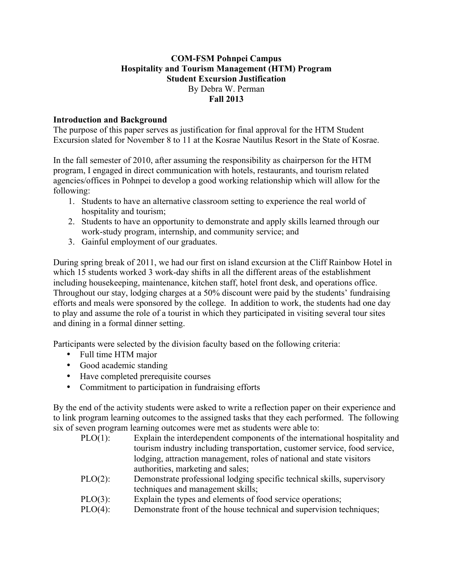# **COM-FSM Pohnpei Campus Hospitality and Tourism Management (HTM) Program Student Excursion Justification** By Debra W. Perman **Fall 2013**

# **Introduction and Background**

The purpose of this paper serves as justification for final approval for the HTM Student Excursion slated for November 8 to 11 at the Kosrae Nautilus Resort in the State of Kosrae.

In the fall semester of 2010, after assuming the responsibility as chairperson for the HTM program, I engaged in direct communication with hotels, restaurants, and tourism related agencies/offices in Pohnpei to develop a good working relationship which will allow for the following:

- 1. Students to have an alternative classroom setting to experience the real world of hospitality and tourism;
- 2. Students to have an opportunity to demonstrate and apply skills learned through our work-study program, internship, and community service; and
- 3. Gainful employment of our graduates.

During spring break of 2011, we had our first on island excursion at the Cliff Rainbow Hotel in which 15 students worked 3 work-day shifts in all the different areas of the establishment including housekeeping, maintenance, kitchen staff, hotel front desk, and operations office. Throughout our stay, lodging charges at a 50% discount were paid by the students' fundraising efforts and meals were sponsored by the college. In addition to work, the students had one day to play and assume the role of a tourist in which they participated in visiting several tour sites and dining in a formal dinner setting.

Participants were selected by the division faculty based on the following criteria:

- Full time HTM major
- Good academic standing
- Have completed prerequisite courses
- Commitment to participation in fundraising efforts

By the end of the activity students were asked to write a reflection paper on their experience and to link program learning outcomes to the assigned tasks that they each performed. The following six of seven program learning outcomes were met as students were able to:

- PLO(1): Explain the interdependent components of the international hospitality and tourism industry including transportation, customer service, food service, lodging, attraction management, roles of national and state visitors authorities, marketing and sales;
- PLO(2): Demonstrate professional lodging specific technical skills, supervisory techniques and management skills;
- PLO(3): Explain the types and elements of food service operations;
- PLO(4): Demonstrate front of the house technical and supervision techniques;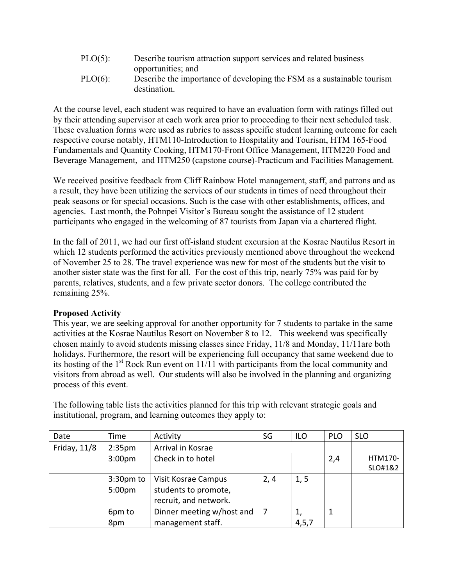| $PLO(5)$ : | Describe tourism attraction support services and related business      |
|------------|------------------------------------------------------------------------|
|            | opportunities; and                                                     |
| $PLO(6)$ : | Describe the importance of developing the FSM as a sustainable tourism |
|            | destination.                                                           |

At the course level, each student was required to have an evaluation form with ratings filled out by their attending supervisor at each work area prior to proceeding to their next scheduled task. These evaluation forms were used as rubrics to assess specific student learning outcome for each respective course notably, HTM110-Introduction to Hospitality and Tourism, HTM 165-Food Fundamentals and Quantity Cooking, HTM170-Front Office Management, HTM220 Food and Beverage Management, and HTM250 (capstone course)-Practicum and Facilities Management.

We received positive feedback from Cliff Rainbow Hotel management, staff, and patrons and as a result, they have been utilizing the services of our students in times of need throughout their peak seasons or for special occasions. Such is the case with other establishments, offices, and agencies. Last month, the Pohnpei Visitor's Bureau sought the assistance of 12 student participants who engaged in the welcoming of 87 tourists from Japan via a chartered flight.

In the fall of 2011, we had our first off-island student excursion at the Kosrae Nautilus Resort in which 12 students performed the activities previously mentioned above throughout the weekend of November 25 to 28. The travel experience was new for most of the students but the visit to another sister state was the first for all. For the cost of this trip, nearly 75% was paid for by parents, relatives, students, and a few private sector donors. The college contributed the remaining 25%.

### **Proposed Activity**

This year, we are seeking approval for another opportunity for 7 students to partake in the same activities at the Kosrae Nautilus Resort on November 8 to 12. This weekend was specifically chosen mainly to avoid students missing classes since Friday, 11/8 and Monday, 11/11are both holidays. Furthermore, the resort will be experiencing full occupancy that same weekend due to its hosting of the  $1<sup>st</sup>$  Rock Run event on 11/11 with participants from the local community and visitors from abroad as well. Our students will also be involved in the planning and organizing process of this event.

| Date         | Time               | Activity                  | SG   | <b>ILO</b> | <b>PLO</b> | <b>SLO</b> |
|--------------|--------------------|---------------------------|------|------------|------------|------------|
| Friday, 11/8 | 2:35 <sub>pm</sub> | Arrival in Kosrae         |      |            |            |            |
|              | 3:00 <sub>pm</sub> | Check in to hotel         |      |            | 2,4        | HTM170-    |
|              |                    |                           |      |            |            | SLO#1&2    |
|              | $3:30pm$ to        | Visit Kosrae Campus       | 2, 4 | 1, 5       |            |            |
|              | 5:00 <sub>pm</sub> | students to promote,      |      |            |            |            |
|              |                    | recruit, and network.     |      |            |            |            |
|              | 6pm to             | Dinner meeting w/host and | 7    | 1,         |            |            |
|              | 8pm                | management staff.         |      | 4, 5, 7    |            |            |

The following table lists the activities planned for this trip with relevant strategic goals and institutional, program, and learning outcomes they apply to: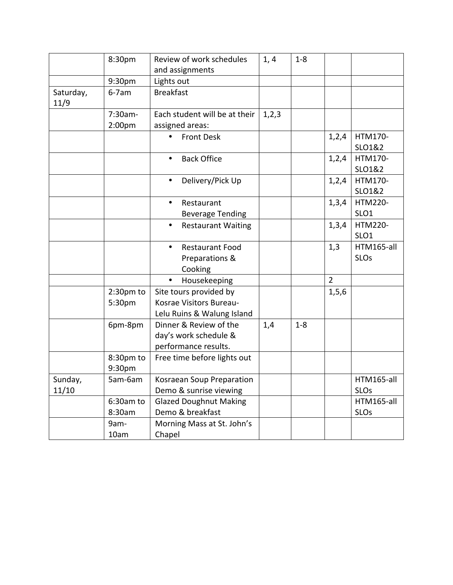|                   | 8:30pm      | Review of work schedules               | 1, 4    | $1 - 8$ |                |                  |
|-------------------|-------------|----------------------------------------|---------|---------|----------------|------------------|
|                   |             | and assignments                        |         |         |                |                  |
|                   | 9:30pm      | Lights out                             |         |         |                |                  |
| Saturday,<br>11/9 | $6-7am$     | <b>Breakfast</b>                       |         |         |                |                  |
|                   | 7:30am-     | Each student will be at their          | 1, 2, 3 |         |                |                  |
|                   | 2:00pm      | assigned areas:                        |         |         |                |                  |
|                   |             | <b>Front Desk</b>                      |         |         | 1,2,4          | HTM170-          |
|                   |             |                                        |         |         |                | SLO1&2           |
|                   |             | <b>Back Office</b><br>$\bullet$        |         |         | 1,2,4          | HTM170-          |
|                   |             |                                        |         |         |                | SLO1&2           |
|                   |             | Delivery/Pick Up<br>$\bullet$          |         |         | 1,2,4          | HTM170-          |
|                   |             |                                        |         |         |                | SLO1&2           |
|                   |             | $\bullet$<br>Restaurant                |         |         | 1,3,4          | HTM220-          |
|                   |             | <b>Beverage Tending</b>                |         |         |                | SLO <sub>1</sub> |
|                   |             | <b>Restaurant Waiting</b><br>$\bullet$ |         |         | 1,3,4          | HTM220-          |
|                   |             |                                        |         |         |                | SLO <sub>1</sub> |
|                   |             | <b>Restaurant Food</b><br>$\bullet$    |         |         | 1,3            | HTM165-all       |
|                   |             | Preparations &                         |         |         |                | <b>SLOs</b>      |
|                   |             | Cooking                                |         |         |                |                  |
|                   |             | Housekeeping                           |         |         | $\overline{2}$ |                  |
|                   | $2:30pm$ to | Site tours provided by                 |         |         | 1, 5, 6        |                  |
|                   | 5:30pm      | Kosrae Visitors Bureau-                |         |         |                |                  |
|                   |             | Lelu Ruins & Walung Island             |         |         |                |                  |
|                   | 6pm-8pm     | Dinner & Review of the                 | 1,4     | $1 - 8$ |                |                  |
|                   |             | day's work schedule &                  |         |         |                |                  |
|                   |             | performance results.                   |         |         |                |                  |
|                   | 8:30pm to   | Free time before lights out            |         |         |                |                  |
|                   | 9:30pm      |                                        |         |         |                |                  |
| Sunday,           | 5am-6am     | Kosraean Soup Preparation              |         |         |                | HTM165-all       |
| 11/10             |             | Demo & sunrise viewing                 |         |         |                | <b>SLOs</b>      |
|                   | 6:30am to   | <b>Glazed Doughnut Making</b>          |         |         |                | HTM165-all       |
|                   | 8:30am      | Demo & breakfast                       |         |         |                | <b>SLOs</b>      |
|                   | 9am-        | Morning Mass at St. John's             |         |         |                |                  |
|                   | 10am        | Chapel                                 |         |         |                |                  |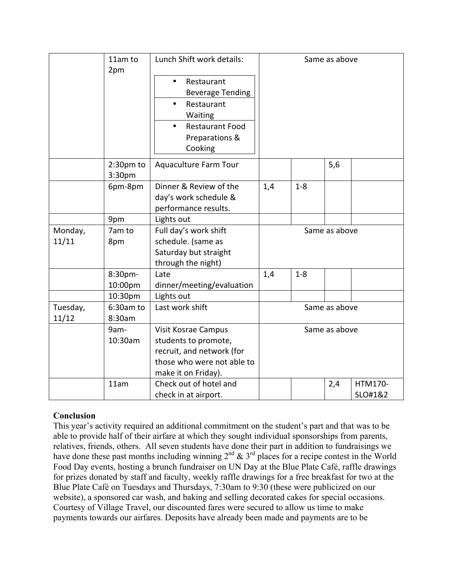| 2pm<br>Restaurant<br>$\bullet$<br><b>Beverage Tending</b><br>Restaurant<br>Waiting<br><b>Restaurant Food</b><br>Preparations &                   | Lunch Shift work details:<br>11am to | Same as above |  |  |                    |  |
|--------------------------------------------------------------------------------------------------------------------------------------------------|--------------------------------------|---------------|--|--|--------------------|--|
|                                                                                                                                                  | Cooking                              |               |  |  |                    |  |
| Aquaculture Farm Tour<br>5,6<br>2:30pm to<br>3:30pm                                                                                              |                                      |               |  |  |                    |  |
| Dinner & Review of the<br>6pm-8pm<br>1,4<br>$1 - 8$<br>day's work schedule &<br>performance results.                                             |                                      |               |  |  |                    |  |
| 9pm<br>Lights out                                                                                                                                |                                      |               |  |  |                    |  |
| 7am to<br>Full day's work shift<br>Same as above<br>Monday,                                                                                      |                                      |               |  |  |                    |  |
| 11/11<br>schedule. (same as<br>8pm                                                                                                               |                                      |               |  |  |                    |  |
| Saturday but straight<br>through the night)                                                                                                      |                                      |               |  |  |                    |  |
| 8:30pm-<br>1,4<br>$1 - 8$<br>Late                                                                                                                |                                      |               |  |  |                    |  |
| 10:00pm<br>dinner/meeting/evaluation                                                                                                             |                                      |               |  |  |                    |  |
| Lights out<br>10:30pm                                                                                                                            |                                      |               |  |  |                    |  |
| Tuesday,<br>$6:30$ am to<br>Last work shift<br>Same as above<br>11/12<br>8:30am                                                                  |                                      | Same as above |  |  |                    |  |
| 9am-<br>Visit Kosrae Campus<br>10:30am<br>students to promote,<br>recruit, and network (for<br>those who were not able to<br>make it on Friday). |                                      |               |  |  |                    |  |
| Check out of hotel and<br>11am<br>2,4<br>check in at airport.                                                                                    |                                      |               |  |  | HTM170-<br>SLO#1&2 |  |

# **Conclusion**

This year's activity required an additional commitment on the student's part and that was to be able to provide half of their airfare at which they sought individual sponsorships from parents, relatives, friends, others. All seven students have done their part in addition to fundraisings we have done these past months including winning  $2^{nd} \& 3^{rd}$  places for a recipe contest in the World Food Day events, hosting a brunch fundraiser on UN Day at the Blue Plate Café, raffle drawings for prizes donated by staff and faculty, weekly raffle drawings for a free breakfast for two at the Blue Plate Café on Tuesdays and Thursdays, 7:30am to 9:30 (these were publicized on our website), a sponsored car wash, and baking and selling decorated cakes for special occasions. Courtesy of Village Travel, our discounted fares were secured to allow us time to make payments towards our airfares. Deposits have already been made and payments are to be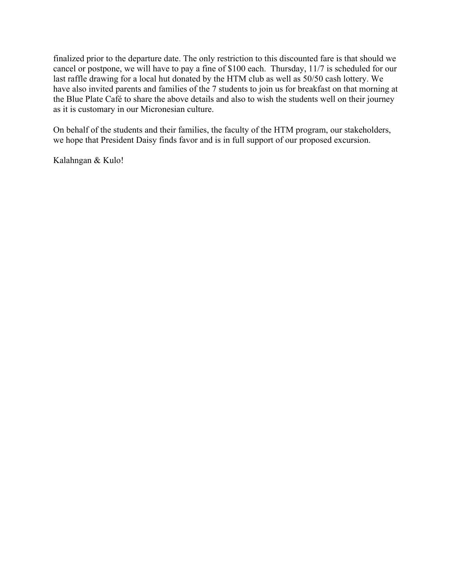finalized prior to the departure date. The only restriction to this discounted fare is that should we cancel or postpone, we will have to pay a fine of \$100 each. Thursday, 11/7 is scheduled for our last raffle drawing for a local hut donated by the HTM club as well as 50/50 cash lottery. We have also invited parents and families of the 7 students to join us for breakfast on that morning at the Blue Plate Café to share the above details and also to wish the students well on their journey as it is customary in our Micronesian culture.

On behalf of the students and their families, the faculty of the HTM program, our stakeholders, we hope that President Daisy finds favor and is in full support of our proposed excursion.

Kalahngan & Kulo!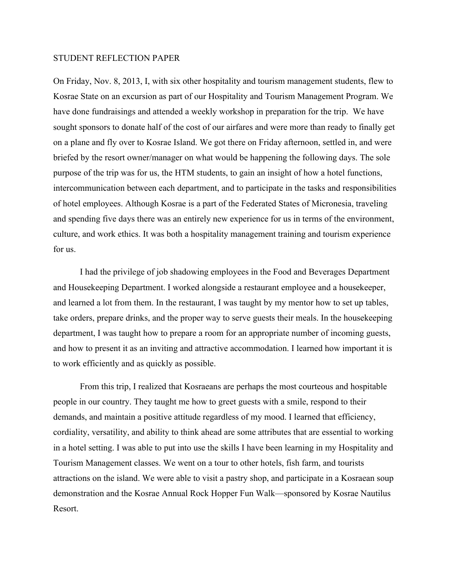#### STUDENT REFLECTION PAPER

On Friday, Nov. 8, 2013, I, with six other hospitality and tourism management students, flew to Kosrae State on an excursion as part of our Hospitality and Tourism Management Program. We have done fundraisings and attended a weekly workshop in preparation for the trip. We have sought sponsors to donate half of the cost of our airfares and were more than ready to finally get on a plane and fly over to Kosrae Island. We got there on Friday afternoon, settled in, and were briefed by the resort owner/manager on what would be happening the following days. The sole purpose of the trip was for us, the HTM students, to gain an insight of how a hotel functions, intercommunication between each department, and to participate in the tasks and responsibilities of hotel employees. Although Kosrae is a part of the Federated States of Micronesia, traveling and spending five days there was an entirely new experience for us in terms of the environment, culture, and work ethics. It was both a hospitality management training and tourism experience for us.

I had the privilege of job shadowing employees in the Food and Beverages Department and Housekeeping Department. I worked alongside a restaurant employee and a housekeeper, and learned a lot from them. In the restaurant, I was taught by my mentor how to set up tables, take orders, prepare drinks, and the proper way to serve guests their meals. In the housekeeping department, I was taught how to prepare a room for an appropriate number of incoming guests, and how to present it as an inviting and attractive accommodation. I learned how important it is to work efficiently and as quickly as possible.

From this trip, I realized that Kosraeans are perhaps the most courteous and hospitable people in our country. They taught me how to greet guests with a smile, respond to their demands, and maintain a positive attitude regardless of my mood. I learned that efficiency, cordiality, versatility, and ability to think ahead are some attributes that are essential to working in a hotel setting. I was able to put into use the skills I have been learning in my Hospitality and Tourism Management classes. We went on a tour to other hotels, fish farm, and tourists attractions on the island. We were able to visit a pastry shop, and participate in a Kosraean soup demonstration and the Kosrae Annual Rock Hopper Fun Walk—sponsored by Kosrae Nautilus Resort.